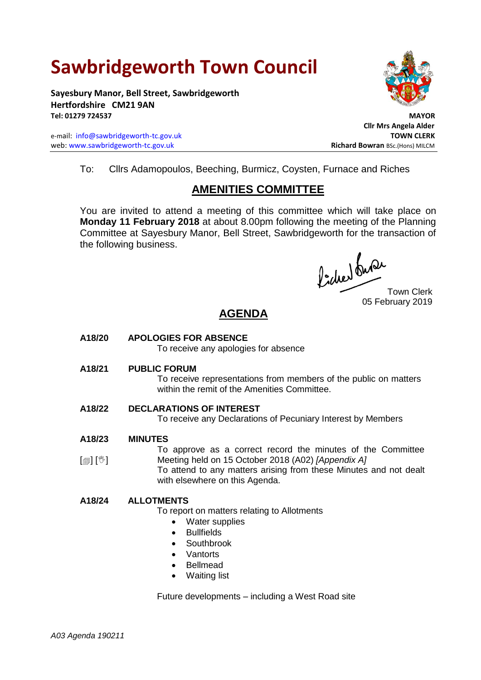# **Sawbridgeworth Town Council**

**Sayesbury Manor, Bell Street, Sawbridgeworth Hertfordshire CM21 9AN Tel: 01279 724537 MAYOR**

e-mail: [info@sawbridgeworth-tc.gov.uk](mailto:info@sawbridgeworth-tc.gov.uk) **TOWN CLERK** web: www.sawbridgeworth-tc.gov.uk **Richard Bowran** BSc.(Hons) MILCM



 **Cllr Mrs Angela Alder**

To: Cllrs Adamopoulos, Beeching, Burmicz, Coysten, Furnace and Riches

## **AMENITIES COMMITTEE**

You are invited to attend a meeting of this committee which will take place on **Monday 11 February 2018** at about 8.00pm following the meeting of the Planning Committee at Sayesbury Manor, Bell Street, Sawbridgeworth for the transaction of the following business.

Picked Que

Town Clerk 05 February 2019

## **AGENDA**

**A18/20 APOLOGIES FOR ABSENCE**

To receive any apologies for absence

**A18/21 PUBLIC FORUM**

To receive representations from members of the public on matters within the remit of the Amenities Committee.

- **A18/22 DECLARATIONS OF INTEREST** To receive any Declarations of Pecuniary Interest by Members
- **A18/23 MINUTES**

 $\lceil$  [ $\mathbb{I}$ ]  $\mathbb{I}$ To approve as a correct record the minutes of the Committee Meeting held on 15 October 2018 (A02) *[Appendix A]*

To attend to any matters arising from these Minutes and not dealt with elsewhere on this Agenda.

### **A18/24 ALLOTMENTS**

To report on matters relating to Allotments

- Water supplies
- **Bullfields**
- Southbrook
- Vantorts
- Bellmead
- Waiting list

Future developments – including a West Road site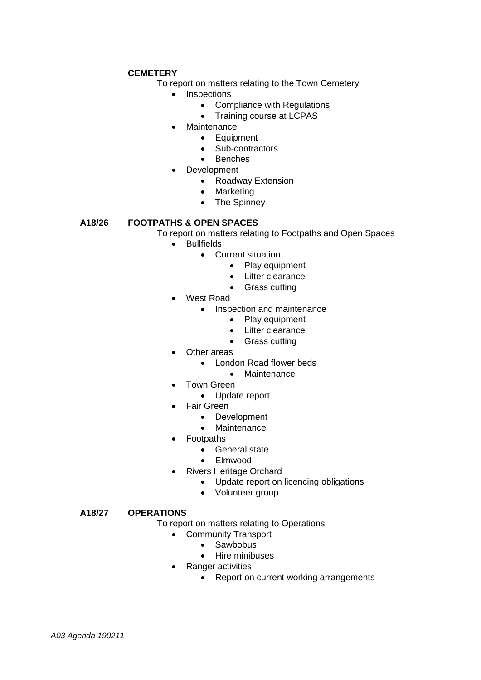#### **CEMETERY**

To report on matters relating to the Town Cemetery

- Inspections
	- Compliance with Regulations
		- Training course at LCPAS
- Maintenance
	- Equipment
		- Sub-contractors
		- Benches
- Development
	- Roadway Extension
	- Marketing
	- The Spinney

#### **A18/26 FOOTPATHS & OPEN SPACES**

To report on matters relating to Footpaths and Open Spaces

- Bullfields
	- Current situation
		- Play equipment
			- Litter clearance
		- Grass cutting
- West Road
	- Inspection and maintenance
		- Play equipment
		- Litter clearance
		- Grass cutting
- Other areas
	- London Road flower beds
		- Maintenance
- Town Green
	- Update report
- Fair Green
	- Development
	- Maintenance
- Footpaths
	- General state
	- Elmwood
- Rivers Heritage Orchard
	- Update report on licencing obligations
	- Volunteer group

#### **A18/27 OPERATIONS**

To report on matters relating to Operations

- Community Transport
	- Sawbobus
	- Hire minibuses
- Ranger activities
	- Report on current working arrangements